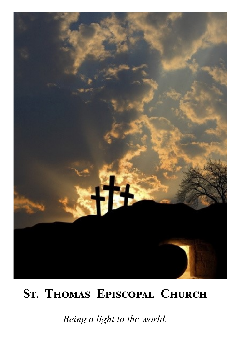

# **St. Thomas Episcopal Church**

## *Being a light to the world.*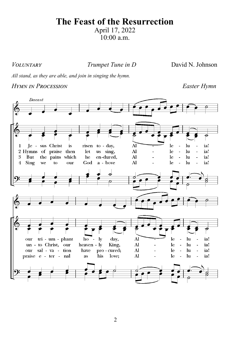**The Feast of the Resurrection** April 17, 2022 10:00 a.m.

*Voluntary Trumpet Tune in D* David N. Johnson

*All stand, as they are able, and join in singing the hymn.*

*Hymn in Procession Easter Hymn*

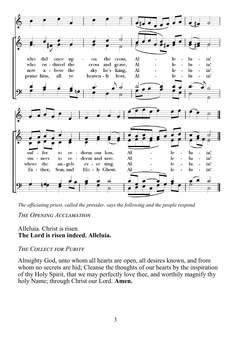

*The officiating priest, called the presider, says the following and the people respond.*

### *The Opening Acclamation*

### Alleluia. Christ is risen. **The Lord is risen indeed. Alleluia.**

### *The Collect for Purity*

Almighty God, unto whom all hearts are open, all desires known, and from whom no secrets are hid; Cleanse the thoughts of our hearts by the inspiration of thy Holy Spirit, that we may perfectly love thee, and worthily magnify thy holy Name; through Christ our Lord. **Amen.**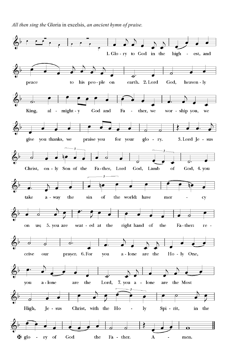*All then sing the* Gloria in excelsis, *an ancient hymn of praise.*

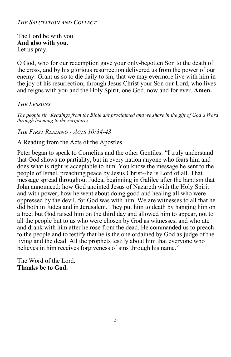*The Salutation and Collect*

The Lord be with you. **And also with you.** Let us pray.

O God, who for our redemption gave your only-begotten Son to the death of the cross, and by his glorious resurrection delivered us from the power of our enemy: Grant us so to die daily to sin, that we may evermore live with him in the joy of his resurrection; through Jesus Christ your Son our Lord, who lives and reigns with you and the Holy Spirit, one God, now and for ever. **Amen.** 

### *The Lessons*

*The people sit. Readings from the Bible are proclaimed and we share in the gift of God's Word through listening to the scriptures.*

### *The First Reading - Acts 10:34-43*

A Reading from the Acts of the Apostles.

Peter began to speak to Cornelius and the other Gentiles: "I truly understand that God shows no partiality, but in every nation anyone who fears him and does what is right is acceptable to him. You know the message he sent to the people of Israel, preaching peace by Jesus Christ--he is Lord of all. That message spread throughout Judea, beginning in Galilee after the baptism that John announced: how God anointed Jesus of Nazareth with the Holy Spirit and with power; how he went about doing good and healing all who were oppressed by the devil, for God was with him. We are witnesses to all that he did both in Judea and in Jerusalem. They put him to death by hanging him on a tree; but God raised him on the third day and allowed him to appear, not to all the people but to us who were chosen by God as witnesses, and who ate and drank with him after he rose from the dead. He commanded us to preach to the people and to testify that he is the one ordained by God as judge of the living and the dead. All the prophets testify about him that everyone who believes in him receives forgiveness of sins through his name."

The Word of the Lord. **Thanks be to God.**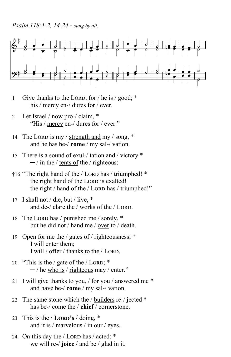*Psalm 118:1-2, 14-24 - sung by all.* 



- 1 Give thanks to the LORD, for  $/$  he is  $/$  good;  $*$ his / mercy en-/ dures for / ever.
- 2 Let Israel / now pro-/ claim, \* "His / mercy en-/ dures for / ever."
- 14 The LORD is my / strength and my / song,  $*$ and he has be-/ **come** / my sal-/ vation.
- 15 There is a sound of exul-/ tation and / victory \*  $-$  / in the / tents of the / righteous:
- †16 "The right hand of the / Lord has / triumphed! \* the right hand of the LORD is exalted! the right / hand of the / LORD has / triumphed!"
- 17 I shall not / die, but / live, \* and de-/ clare the / works of the / LORD.
- 18 The Lord has / punished me / sorely,  $*$ but he did not / hand me / over to / death.
- 19 Open for me the / gates of / righteousness; \* I will enter them; I will / offer / thanks to the / LORD.
- 20 "This is the / gate of the / LORD;  $*$  $-$  / he who is / righteous may / enter."
- 21 I will give thanks to you, / for you / answered me \* and have be-/ **come** / my sal-/ vation.
- 22 The same stone which the / builders re-/ jected \* has be-/ come the / **chief** / cornerstone.
- 23 This is the  $/\mathbf{LORD's}/\mathrm{doing}$ ,  $*$ and it is / <u>marvel</u>ous / in our / eyes.
- 24 On this day the  $/$  LORD has  $/$  acted;  $*$ we will re-/ **joice** / and be / glad in it.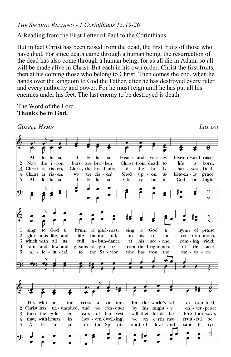### *The Second Reading - 1 Corinthians 15:19-26*

A Reading from the First Letter of Paul to the Corinthians.

But in fact Christ has been raised from the dead, the first fruits of those who have died. For since death came through a human being, the resurrection of the dead has also come through a human being; for as all die in Adam, so all will be made alive in Christ. But each in his own order: Christ the first fruits, then at his coming those who belong to Christ. Then comes the end, when he hands over the kingdom to God the Father, after he has destroyed every ruler and every authority and power. For he must reign until he has put all his enemies under his feet. The last enemy to be destroyed is death.

### The Word of the Lord **Thanks be to God.**

*Gospel Hymn Lux eoi*Al - le - lu - ia,  $al - le - lu - ia!$ Hearts and voic - es heaven-ward raise: 1  $\overline{2}$ Now the *i*-ron bars are bro-ken. Christ from death to life. born. is 3 Christ is ris-en. Christ, the first-fruits of the  $ho - iv$ har - vest - field.  $\overline{4}$ Christ is ris-en. we are ris - en! Shed  $up$  $\alpha$ n  $\overline{\mathbf{u}}$ s heaven - ly grace,  $\overline{5}$ Al - le - lu - ia. al - le - lu - ia!  $Glo$  - $\mathbf{r} \mathbf{v}$ be to God on high: hymn of glad-ness, sing 1 sing  $\mathbf{to}$ God a  $\mathop{\mathrm{to}}$  $_{\rm God}$ a hymn of praise. glor - ious life, and  $\overline{2}$ life im-mor-tal. <sub>on</sub> his re - sur rec - tion morn.  $com - ing$ 3 which with all its full a - bun-dance his sec - ond at. vield: rain and dew and gleams of glo - ry from the bright-ness  $\overline{A}$ of thy face: 5 Al - le - lu - ia! the Sa - vior who has  $vic - to$ to won the rv: He, who on the cross  $\bf{a}$ vic - tim,  $_{\rm for}$ the world's sal va - tion bled, J Christ has tri - umphed, and con-quer by his might - y en - ter-prise: we then the gold har - vest fore him wave,  $\sqrt{3}$ en ears of will their heads be  $\overline{\mathbf{4}}$ that, with hearts in hea - ven dwell-ing,<br>to the Spi - rit, we  $on$ earth may fruit - ful be, 5  $Al - le - lu$ ia! to the fount of love and sanc -  $\dot{u}$  - ty:  $\sim$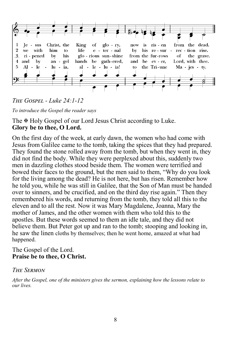

*The Gospel - Luke 24:1-12*

*To introduce the Gospel the reader says*

The  $\overline{\mathbf{A}}$  Holy Gospel of our Lord Jesus Christ according to Luke. **Glory be to thee, O Lord.**

On the first day of the week, at early dawn, the women who had come with Jesus from Galilee came to the tomb, taking the spices that they had prepared. They found the stone rolled away from the tomb, but when they went in, they did not find the body. While they were perplexed about this, suddenly two men in dazzling clothes stood beside them. The women were terrified and bowed their faces to the ground, but the men said to them, "Why do you look for the living among the dead? He is not here, but has risen. Remember how he told you, while he was still in Galilee, that the Son of Man must be handed over to sinners, and be crucified, and on the third day rise again." Then they remembered his words, and returning from the tomb, they told all this to the eleven and to all the rest. Now it was Mary Magdalene, Joanna, Mary the mother of James, and the other women with them who told this to the apostles. But these words seemed to them an idle tale, and they did not believe them. But Peter got up and ran to the tomb; stooping and looking in, he saw the linen cloths by themselves; then he went home, amazed at what had happened.

### The Gospel of the Lord. **Praise be to thee, O Christ.**

### *The Sermon*

*After the Gospel, one of the ministers gives the sermon, explaining how the lessons relate to our lives.*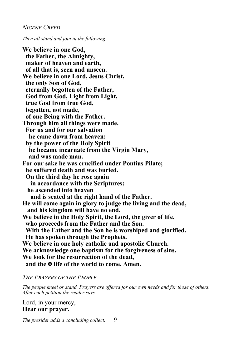### *Nicene Creed*

*Then all stand and join in the following.*

**We believe in one God, the Father, the Almighty, maker of heaven and earth, of all that is, seen and unseen. We believe in one Lord, Jesus Christ, the only Son of God, eternally begotten of the Father, God from God, Light from Light, true God from true God, begotten, not made, of one Being with the Father. Through him all things were made. For us and for our salvation he came down from heaven: by the power of the Holy Spirit he became incarnate from the Virgin Mary, and was made man. For our sake he was crucified under Pontius Pilate; he suffered death and was buried. On the third day he rose again in accordance with the Scriptures; he ascended into heaven and is seated at the right hand of the Father. He will come again in glory to judge the living and the dead, and his kingdom will have no end. We believe in the Holy Spirit, the Lord, the giver of life, who proceeds from the Father and the Son. With the Father and the Son he is worshiped and glorified. He has spoken through the Prophets. We believe in one holy catholic and apostolic Church. We acknowledge one baptism for the forgiveness of sins. We look for the resurrection of the dead, and the**  $\mathbf{\Psi}$  **life of the world to come. Amen.** 

### *The Prayers of the People*

*The people kneel or stand. Prayers are offered for our own needs and for those of others. After each petition the reader says*

Lord, in your mercy, **Hear our prayer.**

9 *The presider adds a concluding collect.*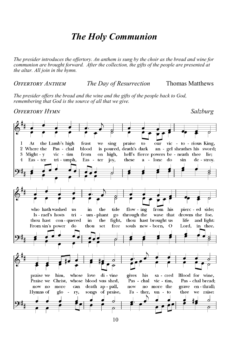### *The Holy Communion*

*The presider introduces the offertory. An anthem is sung by the choir as the bread and wine for communion are brought forward. After the collection, the gifts of the people are presented at the altar. All join in the hymn.*

#### *Offertory Anthem The Day of Resurrection* Thomas Matthews

*The presider offers the bread and the wine and the gifts of the people back to God, remembering that God is the source of all that we give.*

*Offertory Hymn Salzburg*

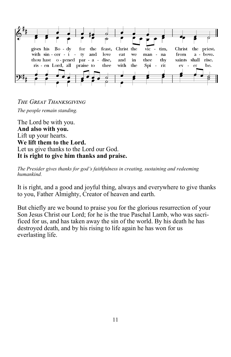

*The Great Thanksgiving*

*The people remain standing.*

The Lord be with you. **And also with you.** Lift up your hearts. **We lift them to the Lord.** Let us give thanks to the Lord our God. **It is right to give him thanks and praise.**

*The Presider gives thanks for god's faithfulness in creating, sustaining and redeeming humankind.* 

It is right, and a good and joyful thing, always and everywhere to give thanks to you, Father Almighty, Creator of heaven and earth.

But chiefly are we bound to praise you for the glorious resurrection of your Son Jesus Christ our Lord; for he is the true Paschal Lamb, who was sacrificed for us, and has taken away the sin of the world. By his death he has destroyed death, and by his rising to life again he has won for us everlasting life.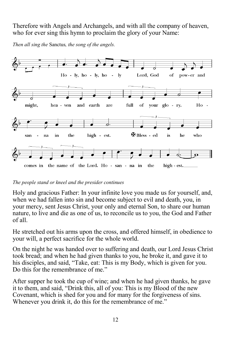Therefore with Angels and Archangels, and with all the company of heaven, who for ever sing this hymn to proclaim the glory of your Name:

*Then all sing the* Sanctus*, the song of the angels.*



#### *The people stand or kneel and the presider continues*

Holy and gracious Father: In your infinite love you made us for yourself, and, when we had fallen into sin and become subject to evil and death, you, in your mercy, sent Jesus Christ, your only and eternal Son, to share our human nature, to live and die as one of us, to reconcile us to you, the God and Father of all.

He stretched out his arms upon the cross, and offered himself, in obedience to your will, a perfect sacrifice for the whole world.

On the night he was handed over to suffering and death, our Lord Jesus Christ took bread; and when he had given thanks to you, he broke it, and gave it to his disciples, and said, "Take, eat: This is my Body, which is given for you. Do this for the remembrance of me."

After supper he took the cup of wine; and when he had given thanks, he gave it to them, and said, "Drink this, all of you: This is my Blood of the new Covenant, which is shed for you and for many for the forgiveness of sins. Whenever you drink it, do this for the remembrance of me."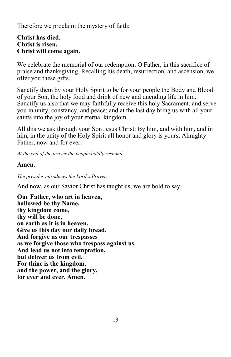Therefore we proclaim the mystery of faith:

### **Christ has died. Christ is risen. Christ will come again.**

We celebrate the memorial of our redemption, O Father, in this sacrifice of praise and thanksgiving. Recalling his death, resurrection, and ascension, we offer you these gifts.

Sanctify them by your Holy Spirit to be for your people the Body and Blood of your Son, the holy food and drink of new and unending life in him. Sanctify us also that we may faithfully receive this holy Sacrament, and serve you in unity, constancy, and peace; and at the last day bring us with all your saints into the joy of your eternal kingdom.

All this we ask through your Son Jesus Christ: By him, and with him, and in him, in the unity of the Holy Spirit all honor and glory is yours, Almighty Father, now and for ever.

*At the end of the prayer the people boldly respond.*

### **Amen.**

*The presider introduces the Lord's Prayer.*

And now, as our Savior Christ has taught us, we are bold to say,

**Our Father, who art in heaven, hallowed be thy Name, thy kingdom come, thy will be done, on earth as it is in heaven. Give us this day our daily bread. And forgive us our trespasses as we forgive those who trespass against us. And lead us not into temptation, but deliver us from evil. For thine is the kingdom, and the power, and the glory, for ever and ever. Amen.**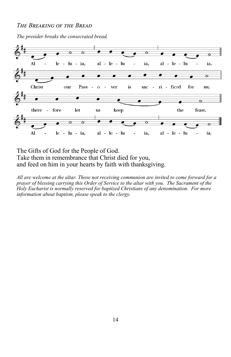#### *The Breaking of the Bread*

*The presider breaks the consecrated bread.*



The Gifts of God for the People of God. Take them in remembrance that Christ died for you, and feed on him in your hearts by faith with thanksgiving.

*All are welcome at the altar. Those not receiving communion are invited to come forward for a prayer of blessing carrying this Order of Service to the altar with you. The Sacrament of the Holy Eucharist is normally reserved for baptized Christians of any denomination. For more information about baptism, please speak to the clergy.*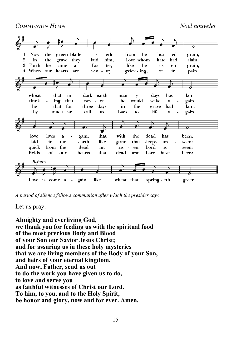*Communion Hymn Noël nouvelet*



*A period of silence follows communion after which the presider says*

Let us pray.

**Almighty and everliving God, we thank you for feeding us with the spiritual food of the most precious Body and Blood of your Son our Savior Jesus Christ; and for assuring us in these holy mysteries that we are living members of the Body of your Son, and heirs of your eternal kingdom. And now, Father, send us out to do the work you have given us to do, to love and serve you as faithful witnesses of Christ our Lord. To him, to you, and to the Holy Spirit, be honor and glory, now and for ever. Amen.**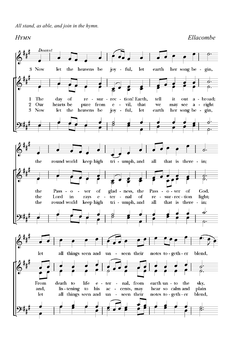*All stand, as able, and join in the hymn.*

*Hymn Ellacombe*Descant 3 Now let the heavens be joy - ful, let  ${\rm earth}$ her song be - gin, day re - sur - rec - tion! Earth, out a - broad;  $\mathbf{I}$ The  $\sigma$ f tell it.  $\overline{2}$ Our hearts be pure from  $\mathbf{e}$  $\Box$ vil, that we may see a - right 3 Now let the heavens be joy ful, let earth her song be - gin, the round world keep high tri - umph, and  $all$ that is there - in; the Pass -  $\circ$  $_{\mathrm{of}}$ glad - ness, the Pass - o - ver God.  $\sim$ ver of the Lord  $\mathbf{in}$ rays  $e$  -  $ter$  -  $nal$  $\mathrm{of}$ re - sur-rec-tion light; the tri - umph, and  $all$ that is there - in; round world keep high 4 all things seen and un let seen their notes to - geth - er blend, From death to life  $e - ter$  $\sim$ nal, from earth un - to the sky, and, lis - tening  $\mathbf{to}$ his  $ac$ cents, may hear so calm and plain let all things seen and  $un$  $\sim$ seen their notes to - geth - er blend,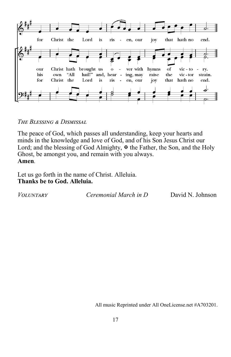

*The Blessing & Dismissal*

The peace of God, which passes all understanding, keep your hearts and minds in the knowledge and love of God, and of his Son Jesus Christ our Lord; and the blessing of God Almighty,  $\mathcal F$  the Father, the Son, and the Holy Ghost, be amongst you, and remain with you always. **Amen***.*

Let us go forth in the name of Christ. Alleluia. **Thanks be to God. Alleluia.**

*Voluntary Ceremonial March in D* David N. Johnson

All music Reprinted under All OneLicense.net #A703201.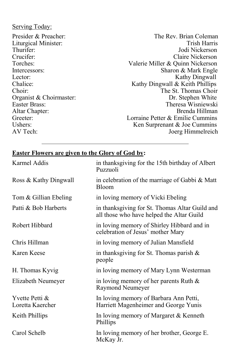### Serving Today:

Liturgical Minister:<br>Thurifer: Organist & Choirmaster: Altar Chapter:

Presider & Preacher:<br>
Liturgical Minister: Trish Harris Trish Harris Jodi Nickerson Crucifer: Crucifer: Crucifer: Claire Nickerson<br>
Torches: Valerie Miller & Ouinn Nickerson Valerie Miller & Quinn Nickerson Intercessors: Sharon & Mark Engle Lector: Kathy Dingwall Chalice: Kathy Dingwall & Keith Phillips Choir: The St. Thomas Choir<br>Organist & Choirmaster: Dr. Stephen White Easter Brass: Theresa Wisniewski<br>Altar Chapter: Theresa Wisniewski<br>Brenda Hillman Greeter: Corraine Petter & Emilie Cummins Ushers: Ushers: Ken Surprenant & Joe Cummins<br>AV Tech: Joerg Himmelreich Joerg Himmelreich

### **Easter Flowers are given to the Glory of God by:**

| Karmel Addis                       | in thanksgiving for the 15th birthday of Albert<br>Puzzuoli                                 |
|------------------------------------|---------------------------------------------------------------------------------------------|
| Ross & Kathy Dingwall              | in celebration of the marriage of Gabbi & Matt<br><b>Bloom</b>                              |
| Tom & Gillian Ebeling              | in loving memory of Vicki Ebeling                                                           |
| Patti & Bob Harberts               | in thanksgiving for St. Thomas Altar Guild and<br>all those who have helped the Altar Guild |
| Robert Hibbard                     | in loving memory of Shirley Hibbard and in<br>celebration of Jesus' mother Mary             |
| Chris Hillman                      | in loving memory of Julian Mansfield                                                        |
| Karen Keese                        | in thanksgiving for St. Thomas parish $\&$<br>people                                        |
| H. Thomas Kyvig                    | in loving memory of Mary Lynn Westerman                                                     |
| Elizabeth Neumeyer                 | in loving memory of her parents Ruth $\&$<br>Raymond Neumeyer                               |
| Yvette Petti &<br>Loretta Kaercher | In loving memory of Barbara Ann Petti,<br>Harriett Magenheimer and George Yunis             |
| Keith Phillips                     | In loving memory of Margaret & Kenneth<br>Phillips                                          |
| Carol Schelb                       | In loving memory of her brother, George E.<br>McKay Jr.                                     |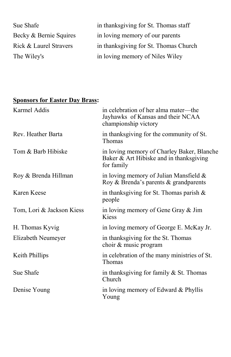| Sue Shafe              | in thanksgiving for St. Thomas staff  |
|------------------------|---------------------------------------|
| Becky & Bernie Squires | in loving memory of our parents       |
| Rick & Laurel Stravers | in thanksgiving for St. Thomas Church |
| The Wiley's            | in loving memory of Niles Wiley       |

### **Sponsors for Easter Day Brass:**

| Karmel Addis              | in celebration of her alma mater-the<br>Jayhawks of Kansas and their NCAA<br>championship victory   |
|---------------------------|-----------------------------------------------------------------------------------------------------|
| Rev. Heather Barta        | in thanksgiving for the community of St.<br>Thomas                                                  |
| Tom & Barb Hibiske        | in loving memory of Charley Baker, Blanche<br>Baker & Art Hibiske and in thanksgiving<br>for family |
| Roy & Brenda Hillman      | in loving memory of Julian Mansfield $\&$<br>Roy & Brenda's parents & grandparents                  |
| Karen Keese               | in thanksgiving for St. Thomas parish $\&$<br>people                                                |
| Tom, Lori & Jackson Kiess | in loving memory of Gene Gray $&$ Jim<br><b>K</b> iess                                              |
| H. Thomas Kyvig           | in loving memory of George E. McKay Jr.                                                             |
| Elizabeth Neumeyer        | in thanksgiving for the St. Thomas<br>choir & music program                                         |
| Keith Phillips            | in celebration of the many ministries of St.<br><b>Thomas</b>                                       |
| Sue Shafe                 | in thanksgiving for family $&$ St. Thomas<br>Church                                                 |
| Denise Young              | in loving memory of Edward & Phyllis<br>Young                                                       |